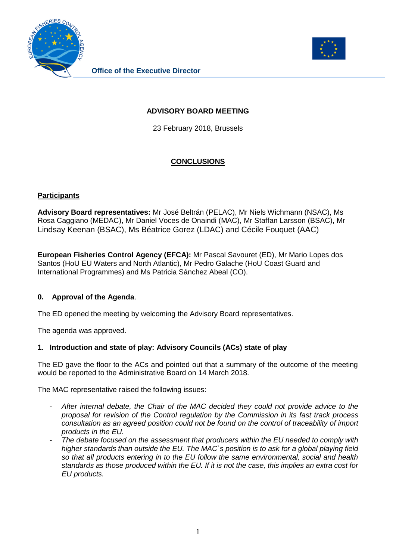



## **ADVISORY BOARD MEETING**

23 February 2018, Brussels

# **CONCLUSIONS**

#### **Participants**

**Advisory Board representatives:** Mr José Beltrán (PELAC), Mr Niels Wichmann (NSAC), Ms Rosa Caggiano (MEDAC), Mr Daniel Voces de Onaindi (MAC), Mr Staffan Larsson (BSAC), Mr Lindsay Keenan (BSAC), Ms Béatrice Gorez (LDAC) and Cécile Fouquet (AAC)

**European Fisheries Control Agency (EFCA):** Mr Pascal Savouret (ED), Mr Mario Lopes dos Santos (HoU EU Waters and North Atlantic), Mr Pedro Galache (HoU Coast Guard and International Programmes) and Ms Patricia Sánchez Abeal (CO).

#### **0. Approval of the Agenda**.

The ED opened the meeting by welcoming the Advisory Board representatives.

The agenda was approved.

#### **1. Introduction and state of play: Advisory Councils (ACs) state of play**

The ED gave the floor to the ACs and pointed out that a summary of the outcome of the meeting would be reported to the Administrative Board on 14 March 2018.

The MAC representative raised the following issues:

- *After internal debate, the Chair of the MAC decided they could not provide advice to the proposal for revision of the Control regulation by the Commission in its fast track process consultation as an agreed position could not be found on the control of traceability of import products in the EU.*
- *The debate focused on the assessment that producers within the EU needed to comply with higher standards than outside the EU. The MAC`s position is to ask for a global playing field so that all products entering in to the EU follow the same environmental, social and health standards as those produced within the EU. If it is not the case, this implies an extra cost for EU products.*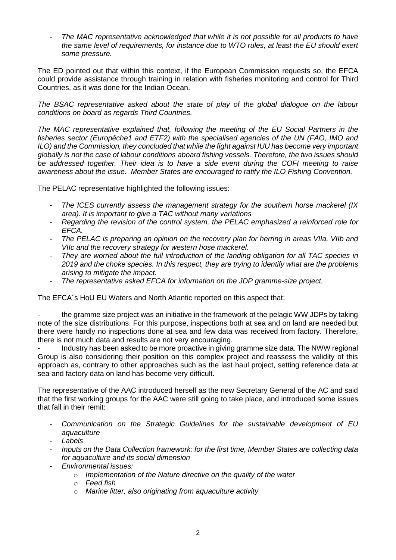- *The MAC representative acknowledged that while it is not possible for all products to have the same level of requirements, for instance due to WTO rules, at least the EU should exert some pressure.*

The ED pointed out that within this context, if the European Commission requests so, the EFCA could provide assistance through training in relation with fisheries monitoring and control for Third Countries, as it was done for the Indian Ocean.

*The BSAC representative asked about the state of play of the global dialogue on the labour conditions on board as regards Third Countries.*

*The MAC representative explained that, following the meeting of the EU Social Partners in the fisheries sector (Europêche1 and ETF2) with the specialised agencies of the UN (FAO, IMO and ILO) and the Commission, they concluded that while the fight against IUU has become very important globally is not the case of labour conditions aboard fishing vessels. Therefore, the two issues should be addressed together. Their idea is to have a side event during the COFI meeting to raise awareness about the issue. Member States are encouraged to ratify the ILO Fishing Convention.*

The PELAC representative highlighted the following issues:

- *The ICES currently assess the management strategy for the southern horse mackerel (IX area). It is important to give a TAC without many variations*
- *Regarding the revision of the control system, the PELAC emphasized a reinforced role for EFCA.*
- *The PELAC is preparing an opinion on the recovery plan for herring in areas VIIa, VIIb and VIIc and the recovery strategy for western hose mackerel.*
- *They are worried about the full introduction of the landing obligation for all TAC species in 2019 and the choke species. In this respect, they are trying to identify what are the problems arising to mitigate the impact.*
- *The representative asked EFCA for information on the JDP gramme-size project.*

The EFCA´s HoU EU Waters and North Atlantic reported on this aspect that:

the gramme size project was an initiative in the framework of the pelagic WW JDPs by taking note of the size distributions. For this purpose, inspections both at sea and on land are needed but there were hardly no inspections done at sea and few data was received from factory. Therefore, there is not much data and results are not very encouraging.

- Industry has been asked to be more proactive in giving gramme size data. The NWW regional Group is also considering their position on this complex project and reassess the validity of this approach as, contrary to other approaches such as the last haul project, setting reference data at sea and factory data on land has become very difficult.

The representative of the AAC introduced herself as the new Secretary General of the AC and said that the first working groups for the AAC were still going to take place, and introduced some issues that fall in their remit:

- *Communication on the Strategic Guidelines for the sustainable development of EU aquaculture*
- *Labels*
- *Inputs on the Data Collection framework: for the first time, Member States are collecting data for aquaculture and its social dimension*
- *Environmental issues:*
	- o *Implementation of the Nature directive on the quality of the water*
	- o *Feed fish*
	- o *Marine litter, also originating from aquaculture activity*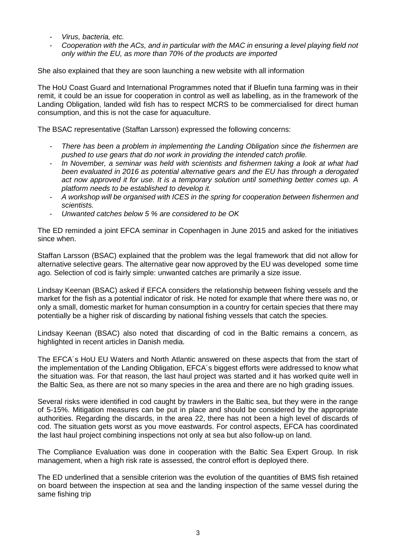- *Virus, bacteria, etc.*
- *Cooperation with the ACs, and in particular with the MAC in ensuring a level playing field not only within the EU, as more than 70% of the products are imported*

She also explained that they are soon launching a new website with all information

The HoU Coast Guard and International Programmes noted that if Bluefin tuna farming was in their remit, it could be an issue for cooperation in control as well as labelling, as in the framework of the Landing Obligation, landed wild fish has to respect MCRS to be commercialised for direct human consumption, and this is not the case for aquaculture.

The BSAC representative (Staffan Larsson) expressed the following concerns:

- *There has been a problem in implementing the Landing Obligation since the fishermen are pushed to use gears that do not work in providing the intended catch profile.*
- In November, a seminar was held with scientists and fishermen taking a look at what had *been evaluated in 2016 as potential alternative gears and the EU has through a derogated act now approved it for use. It is a temporary solution until something better comes up. A platform needs to be established to develop it.*
- *A workshop will be organised with ICES in the spring for cooperation between fishermen and scientists.*
- *Unwanted catches below 5 % are considered to be OK*

The ED reminded a joint EFCA seminar in Copenhagen in June 2015 and asked for the initiatives since when.

Staffan Larsson (BSAC) explained that the problem was the legal framework that did not allow for alternative selective gears. The alternative gear now approved by the EU was developed some time ago. Selection of cod is fairly simple: unwanted catches are primarily a size issue.

Lindsay Keenan (BSAC) asked if EFCA considers the relationship between fishing vessels and the market for the fish as a potential indicator of risk. He noted for example that where there was no, or only a small, domestic market for human consumption in a country for certain species that there may potentially be a higher risk of discarding by national fishing vessels that catch the species.

Lindsay Keenan (BSAC) also noted that discarding of cod in the Baltic remains a concern, as highlighted in recent articles in Danish media.

The EFCA´s HoU EU Waters and North Atlantic answered on these aspects that from the start of the implementation of the Landing Obligation, EFCA´s biggest efforts were addressed to know what the situation was. For that reason, the last haul project was started and it has worked quite well in the Baltic Sea, as there are not so many species in the area and there are no high grading issues.

Several risks were identified in cod caught by trawlers in the Baltic sea, but they were in the range of 5-15%. Mitigation measures can be put in place and should be considered by the appropriate authorities. Regarding the discards, in the area 22, there has not been a high level of discards of cod. The situation gets worst as you move eastwards. For control aspects, EFCA has coordinated the last haul project combining inspections not only at sea but also follow-up on land.

The Compliance Evaluation was done in cooperation with the Baltic Sea Expert Group. In risk management, when a high risk rate is assessed, the control effort is deployed there.

The ED underlined that a sensible criterion was the evolution of the quantities of BMS fish retained on board between the inspection at sea and the landing inspection of the same vessel during the same fishing trip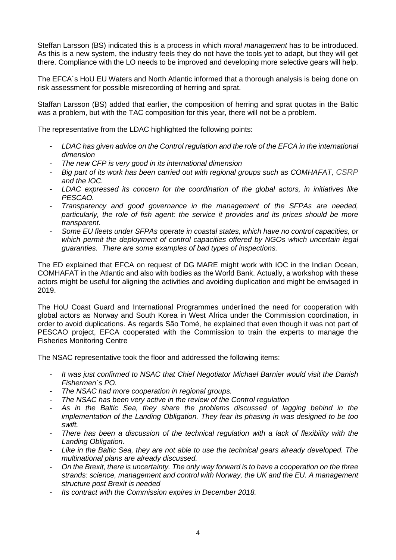Steffan Larsson (BS) indicated this is a process in which *moral management* has to be introduced. As this is a new system, the industry feels they do not have the tools yet to adapt, but they will get there. Compliance with the LO needs to be improved and developing more selective gears will help.

The EFCA´s HoU EU Waters and North Atlantic informed that a thorough analysis is being done on risk assessment for possible misrecording of herring and sprat.

Staffan Larsson (BS) added that earlier, the composition of herring and sprat quotas in the Baltic was a problem, but with the TAC composition for this year, there will not be a problem.

The representative from the LDAC highlighted the following points:

- *LDAC has given advice on the Control regulation and the role of the EFCA in the international dimension*
- *The new CFP is very good in its international dimension*
- *Big part of its work has been carried out with regional groups such as COMHAFAT, CSRP and the IOC.*
- *LDAC expressed its concern for the coordination of the global actors, in initiatives like PESCAO.*
- *Transparency and good governance in the management of the SFPAs are needed, particularly, the role of fish agent: the service it provides and its prices should be more transparent.*
- *Some EU fleets under SFPAs operate in coastal states, which have no control capacities, or which permit the deployment of control capacities offered by NGOs which uncertain legal guaranties. There are some examples of bad types of inspections.*

The ED explained that EFCA on request of DG MARE might work with IOC in the Indian Ocean, COMHAFAT in the Atlantic and also with bodies as the World Bank. Actually, a workshop with these actors might be useful for aligning the activities and avoiding duplication and might be envisaged in 2019.

The HoU Coast Guard and International Programmes underlined the need for cooperation with global actors as Norway and South Korea in West Africa under the Commission coordination, in order to avoid duplications. As regards São Tomé, he explained that even though it was not part of PESCAO project, EFCA cooperated with the Commission to train the experts to manage the Fisheries Monitoring Centre

The NSAC representative took the floor and addressed the following items:

- *It was just confirmed to NSAC that Chief Negotiator Michael Barnier would visit the Danish Fishermen´s PO.*
- *The NSAC had more cooperation in regional groups.*
- *The NSAC has been very active in the review of the Control regulation*
- *As in the Baltic Sea, they share the problems discussed of lagging behind in the implementation of the Landing Obligation. They fear its phasing in was designed to be too swift.*
- *There has been a discussion of the technical regulation with a lack of flexibility with the Landing Obligation.*
- *Like in the Baltic Sea, they are not able to use the technical gears already developed. The multinational plans are already discussed.*
- *On the Brexit, there is uncertainty. The only way forward is to have a cooperation on the three strands: science, management and control with Norway, the UK and the EU. A management structure post Brexit is needed*
- *Its contract with the Commission expires in December 2018.*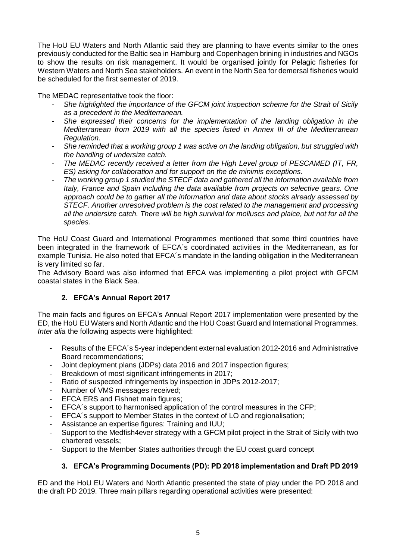The HoU EU Waters and North Atlantic said they are planning to have events similar to the ones previously conducted for the Baltic sea in Hamburg and Copenhagen brining in industries and NGOs to show the results on risk management. It would be organised jointly for Pelagic fisheries for Western Waters and North Sea stakeholders. An event in the North Sea for demersal fisheries would be scheduled for the first semester of 2019.

The MEDAC representative took the floor:

- *She highlighted the importance of the GFCM joint inspection scheme for the Strait of Sicily as a precedent in the Mediterranean.*
- *She expressed their concerns for the implementation of the landing obligation in the Mediterranean from 2019 with all the species listed in Annex III of the Mediterranean Regulation.*
- *She reminded that a working group 1 was active on the landing obligation, but struggled with the handling of undersize catch.*
- *The MEDAC recently received a letter from the High Level group of PESCAMED (IT, FR, ES) asking for collaboration and for support on the de minimis exceptions.*
- *The working group 1 studied the STECF data and gathered all the information available from Italy, France and Spain including the data available from projects on selective gears. One approach could be to gather all the information and data about stocks already assessed by STECF. Another unresolved problem is the cost related to the management and processing all the undersize catch. There will be high survival for molluscs and plaice, but not for all the species.*

The HoU Coast Guard and International Programmes mentioned that some third countries have been integrated in the framework of EFCA´s coordinated activities in the Mediterranean, as for example Tunisia. He also noted that EFCA´s mandate in the landing obligation in the Mediterranean is very limited so far.

The Advisory Board was also informed that EFCA was implementing a pilot project with GFCM coastal states in the Black Sea.

## **2. EFCA's Annual Report 2017**

The main facts and figures on EFCA's Annual Report 2017 implementation were presented by the ED, the HoU EU Waters and North Atlantic and the HoU Coast Guard and International Programmes. *Inter alia* the following aspects were highlighted:

- Results of the EFCA´s 5-year independent external evaluation 2012-2016 and Administrative Board recommendations;
- Joint deployment plans (JDPs) data 2016 and 2017 inspection figures;
- Breakdown of most significant infringements in 2017;
- Ratio of suspected infringements by inspection in JDPs 2012-2017;
- Number of VMS messages received;
- EFCA ERS and Fishnet main figures;
- EFCA´s support to harmonised application of the control measures in the CFP;
- EFCA´s support to Member States in the context of LO and regionalisation;
- Assistance an expertise figures: Training and IUU;
- Support to the Medfish4ever strategy with a GFCM pilot project in the Strait of Sicily with two chartered vessels;
- Support to the Member States authorities through the EU coast guard concept

## **3. EFCA's Programming Documents (PD): PD 2018 implementation and Draft PD 2019**

ED and the HoU EU Waters and North Atlantic presented the state of play under the PD 2018 and the draft PD 2019. Three main pillars regarding operational activities were presented: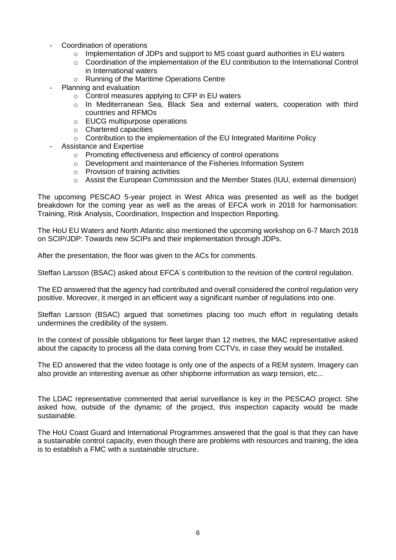- Coordination of operations
	- $\circ$  Implementation of JDPs and support to MS coast guard authorities in EU waters
	- o Coordination of the implementation of the EU contribution to the International Control in International waters
	- o Running of the Maritime Operations Centre
- Planning and evaluation
	- o Control measures applying to CFP in EU waters
	- o In Mediterranean Sea, Black Sea and external waters, cooperation with third countries and RFMOs
	- o EUCG multipurpose operations
	- o Chartered capacities
	- o Contribution to the implementation of the EU Integrated Maritime Policy
- Assistance and Expertise
	- o Promoting effectiveness and efficiency of control operations
	- o Development and maintenance of the Fisheries Information System
	- o Provision of training activities
	- o Assist the European Commission and the Member States (IUU, external dimension)

The upcoming PESCAO 5-year project in West Africa was presented as well as the budget breakdown for the coming year as well as the areas of EFCA work in 2018 for harmonisation: Training, Risk Analysis, Coordination, Inspection and Inspection Reporting.

The HoU EU Waters and North Atlantic also mentioned the upcoming workshop on 6-7 March 2018 on SCIP/JDP: Towards new SCIPs and their implementation through JDPs.

After the presentation, the floor was given to the ACs for comments.

Steffan Larsson (BSAC) asked about EFCA´s contribution to the revision of the control regulation.

The ED answered that the agency had contributed and overall considered the control regulation very positive. Moreover, it merged in an efficient way a significant number of regulations into one.

Steffan Larsson (BSAC) argued that sometimes placing too much effort in regulating details undermines the credibility of the system.

In the context of possible obligations for fleet larger than 12 metres, the MAC representative asked about the capacity to process all the data coming from CCTVs, in case they would be installed.

The ED answered that the video footage is only one of the aspects of a REM system. Imagery can also provide an interesting avenue as other shipborne information as warp tension, etc...

The LDAC representative commented that aerial surveillance is key in the PESCAO project. She asked how, outside of the dynamic of the project, this inspection capacity would be made sustainable.

The HoU Coast Guard and International Programmes answered that the goal is that they can have a sustainable control capacity, even though there are problems with resources and training, the idea is to establish a FMC with a sustainable structure.